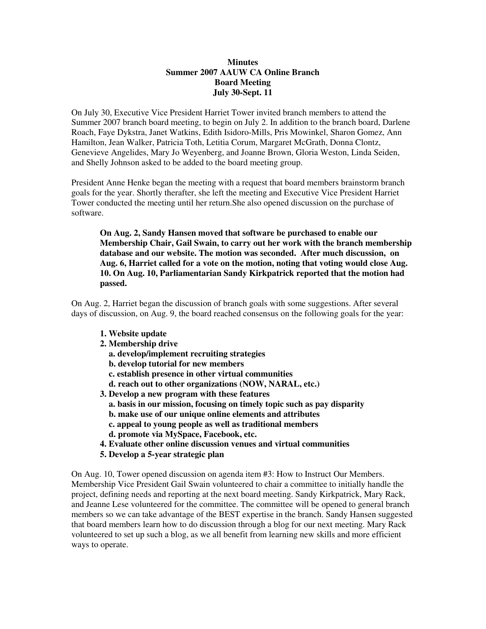## **Minutes Summer 2007 AAUW CA Online Branch Board Meeting July 30-Sept. 11**

On July 30, Executive Vice President Harriet Tower invited branch members to attend the Summer 2007 branch board meeting, to begin on July 2. In addition to the branch board, Darlene Roach, Faye Dykstra, Janet Watkins, Edith Isidoro-Mills, Pris Mowinkel, Sharon Gomez, Ann Hamilton, Jean Walker, Patricia Toth, Letitia Corum, Margaret McGrath, Donna Clontz, Genevieve Angelides, Mary Jo Weyenberg, and Joanne Brown, Gloria Weston, Linda Seiden, and Shelly Johnson asked to be added to the board meeting group.

President Anne Henke began the meeting with a request that board members brainstorm branch goals for the year. Shortly therafter, she left the meeting and Executive Vice President Harriet Tower conducted the meeting until her return.She also opened discussion on the purchase of software.

**On Aug. 2, Sandy Hansen moved that software be purchased to enable our Membership Chair, Gail Swain, to carry out her work with the branch membership database and our website. The motion was seconded. After much discussion, on Aug. 6, Harriet called for a vote on the motion, noting that voting would close Aug. 10. On Aug. 10, Parliamentarian Sandy Kirkpatrick reported that the motion had passed.** 

On Aug. 2, Harriet began the discussion of branch goals with some suggestions. After several days of discussion, on Aug. 9, the board reached consensus on the following goals for the year:

- **1. Website update**
- **2. Membership drive** 
	- **a. develop/implement recruiting strategies**
	- **b. develop tutorial for new members**
	- **c. establish presence in other virtual communities**
	- **d. reach out to other organizations (NOW, NARAL, etc.)**
- **3. Develop a new program with these features** 
	- **a. basis in our mission, focusing on timely topic such as pay disparity**
	- **b. make use of our unique online elements and attributes**
	- **c. appeal to young people as well as traditional members**
	- **d. promote via MySpace, Facebook, etc.**
- **4. Evaluate other online discussion venues and virtual communities**
- **5. Develop a 5-year strategic plan**

On Aug. 10, Tower opened discussion on agenda item #3: How to Instruct Our Members. Membership Vice President Gail Swain volunteered to chair a committee to initially handle the project, defining needs and reporting at the next board meeting. Sandy Kirkpatrick, Mary Rack, and Jeanne Lese volunteered for the committee. The committee will be opened to general branch members so we can take advantage of the BEST expertise in the branch. Sandy Hansen suggested that board members learn how to do discussion through a blog for our next meeting. Mary Rack volunteered to set up such a blog, as we all benefit from learning new skills and more efficient ways to operate.